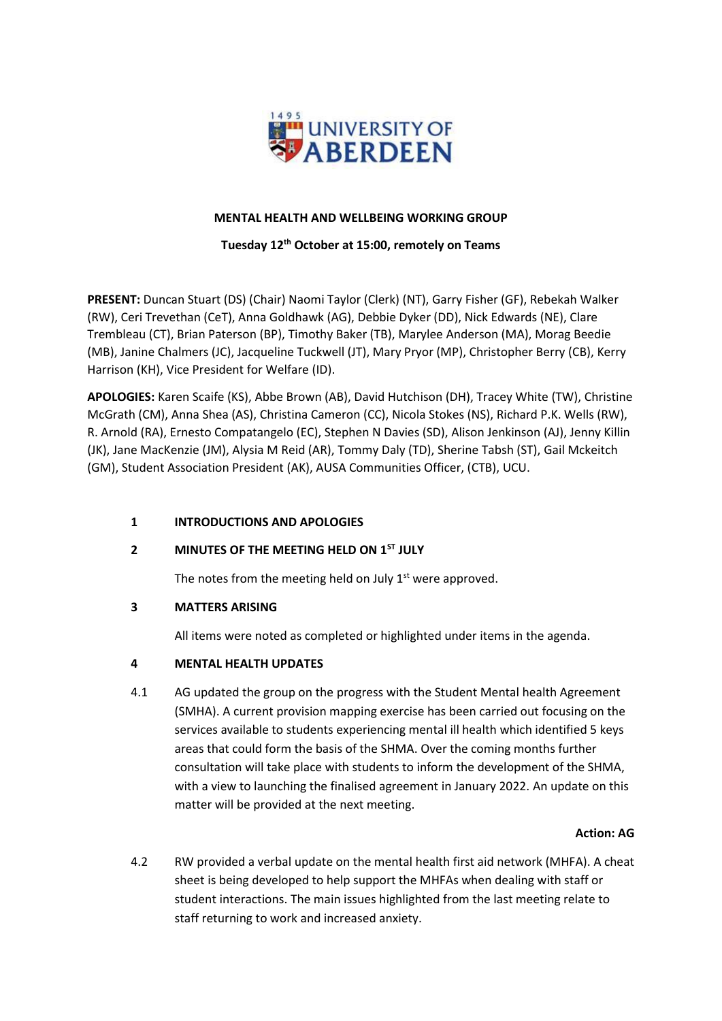

## **MENTAL HEALTH AND WELLBEING WORKING GROUP**

## **Tuesday 12 th October at 15:00, remotely on Teams**

**PRESENT:** Duncan Stuart (DS) (Chair) Naomi Taylor (Clerk) (NT), Garry Fisher (GF), Rebekah Walker (RW), Ceri Trevethan (CeT), Anna Goldhawk (AG), Debbie Dyker (DD), Nick Edwards (NE), Clare Trembleau (CT), Brian Paterson (BP), Timothy Baker (TB), Marylee Anderson (MA), Morag Beedie (MB), Janine Chalmers (JC), Jacqueline Tuckwell (JT), Mary Pryor (MP), Christopher Berry (CB), Kerry Harrison (KH), Vice President for Welfare (ID).

**APOLOGIES:** Karen Scaife (KS), Abbe Brown (AB), David Hutchison (DH), Tracey White (TW), Christine McGrath (CM), Anna Shea (AS), Christina Cameron (CC), Nicola Stokes (NS), Richard P.K. Wells (RW), R. Arnold (RA), Ernesto Compatangelo (EC), Stephen N Davies (SD), Alison Jenkinson (AJ), Jenny Killin (JK), Jane MacKenzie (JM), Alysia M Reid (AR), Tommy Daly (TD), Sherine Tabsh (ST), Gail Mckeitch (GM), Student Association President (AK), AUSA Communities Officer, (CTB), UCU.

# **1 INTRODUCTIONS AND APOLOGIES**

# **2 MINUTES OF THE MEETING HELD ON 1ST JULY**

The notes from the meeting held on July  $1<sup>st</sup>$  were approved.

## **3 MATTERS ARISING**

All items were noted as completed or highlighted under items in the agenda.

# **4 MENTAL HEALTH UPDATES**

4.1 AG updated the group on the progress with the Student Mental health Agreement (SMHA). A current provision mapping exercise has been carried out focusing on the services available to students experiencing mental ill health which identified 5 keys areas that could form the basis of the SHMA. Over the coming months further consultation will take place with students to inform the development of the SHMA, with a view to launching the finalised agreement in January 2022. An update on this matter will be provided at the next meeting.

## **Action: AG**

4.2 RW provided a verbal update on the mental health first aid network (MHFA). A cheat sheet is being developed to help support the MHFAs when dealing with staff or student interactions. The main issues highlighted from the last meeting relate to staff returning to work and increased anxiety.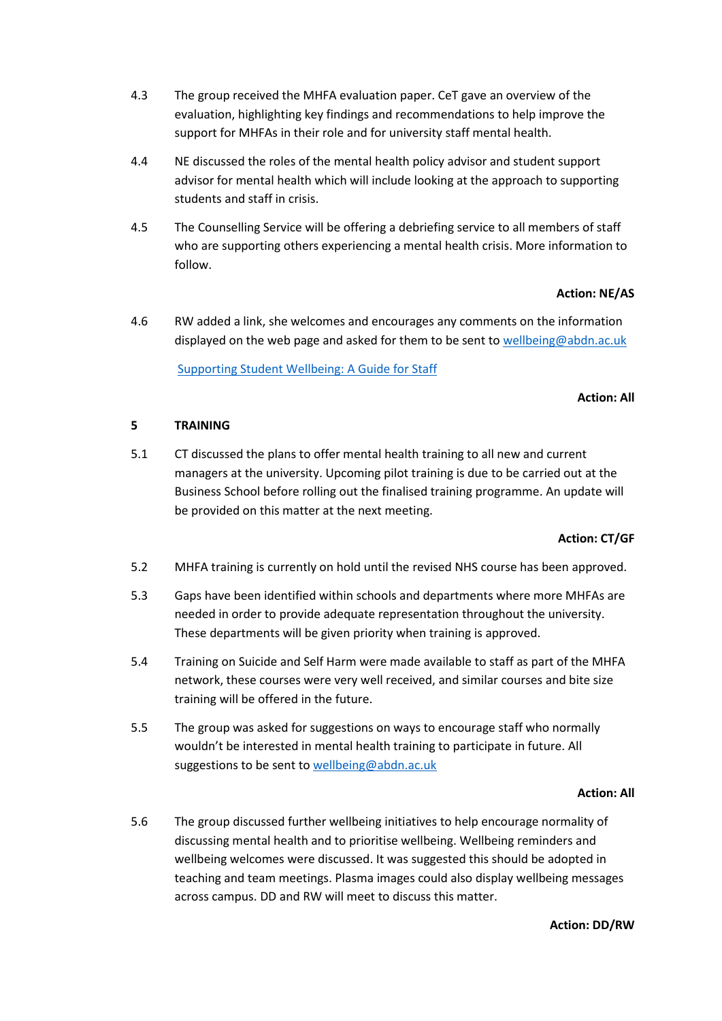- 4.3 The group received the MHFA evaluation paper. CeT gave an overview of the evaluation, highlighting key findings and recommendations to help improve the support for MHFAs in their role and for university staff mental health.
- 4.4 NE discussed the roles of the mental health policy advisor and student support advisor for mental health which will include looking at the approach to supporting students and staff in crisis.
- 4.5 The Counselling Service will be offering a debriefing service to all members of staff who are supporting others experiencing a mental health crisis. More information to follow.

# **Action: NE/AS**

4.6 RW added a link, she welcomes and encourages any comments on the information displayed on the web page and asked for them to be sent to [wellbeing@abdn.ac.uk](mailto:wellbeing@abdn.ac.uk)

[Supporting Student Wellbeing: A Guide for Staff](https://www.abdn.ac.uk/staffnet/working-here/wellbeing-portal/supporting-student-wellbeing-a-guide-for-staff-13654.php#panel13659)

## **Action: All**

## **5 TRAINING**

5.1 CT discussed the plans to offer mental health training to all new and current managers at the university. Upcoming pilot training is due to be carried out at the Business School before rolling out the finalised training programme. An update will be provided on this matter at the next meeting.

## **Action: CT/GF**

- 5.2 MHFA training is currently on hold until the revised NHS course has been approved.
- 5.3 Gaps have been identified within schools and departments where more MHFAs are needed in order to provide adequate representation throughout the university. These departments will be given priority when training is approved.
- 5.4 Training on Suicide and Self Harm were made available to staff as part of the MHFA network, these courses were very well received, and similar courses and bite size training will be offered in the future.
- 5.5 The group was asked for suggestions on ways to encourage staff who normally wouldn't be interested in mental health training to participate in future. All suggestions to be sent to [wellbeing@abdn.ac.uk](mailto:wellbeing@abdn.ac.uk)

## **Action: All**

5.6 The group discussed further wellbeing initiatives to help encourage normality of discussing mental health and to prioritise wellbeing. Wellbeing reminders and wellbeing welcomes were discussed. It was suggested this should be adopted in teaching and team meetings. Plasma images could also display wellbeing messages across campus. DD and RW will meet to discuss this matter.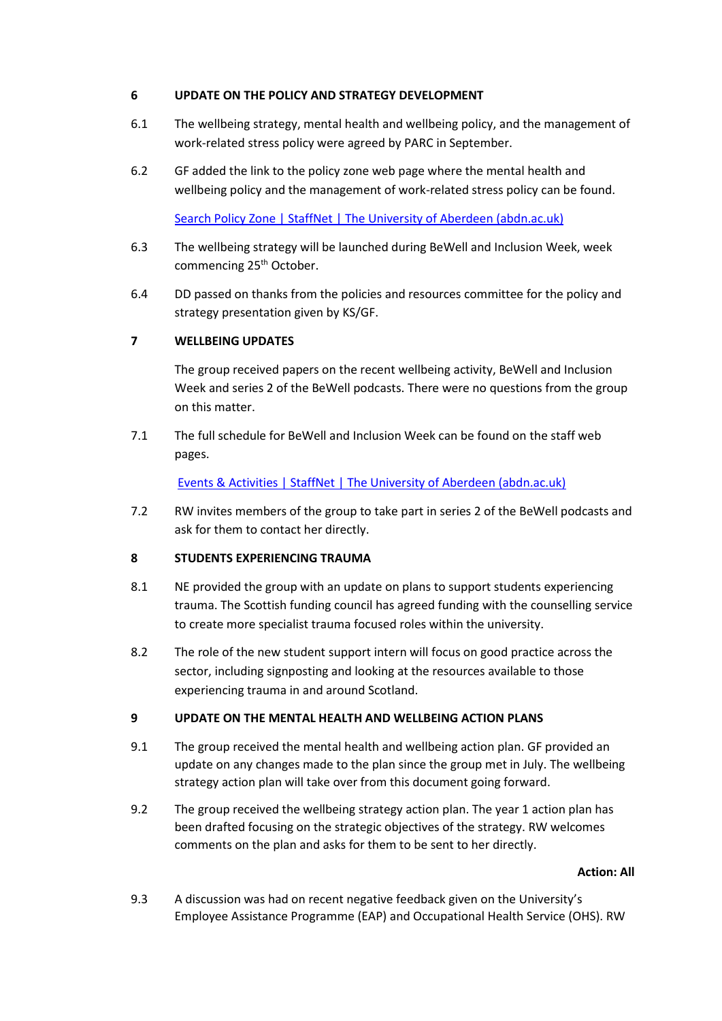## **6 UPDATE ON THE POLICY AND STRATEGY DEVELOPMENT**

- 6.1 The wellbeing strategy, mental health and wellbeing policy, and the management of work-related stress policy were agreed by PARC in September.
- 6.2 GF added the link to the policy zone web page where the mental health and wellbeing policy and the management of work-related stress policy can be found.

[Search Policy Zone | StaffNet | The University of Aberdeen \(abdn.ac.uk\)](https://www.abdn.ac.uk/staffnet/governance/search-policy-zone-399.php)

- 6.3 The wellbeing strategy will be launched during BeWell and Inclusion Week, week commencing 25<sup>th</sup> October.
- 6.4 DD passed on thanks from the policies and resources committee for the policy and strategy presentation given by KS/GF.

# **7 WELLBEING UPDATES**

The group received papers on the recent wellbeing activity, BeWell and Inclusion Week and series 2 of the BeWell podcasts. There were no questions from the group on this matter.

7.1 The full schedule for BeWell and Inclusion Week can be found on the staff web pages.

[Events & Activities | StaffNet | The University of Aberdeen \(abdn.ac.uk\)](https://www.abdn.ac.uk/staffnet/working-here/wellbeing-portal/wellbeing-events-activities--10465.php#panel13867)

7.2 RW invites members of the group to take part in series 2 of the BeWell podcasts and ask for them to contact her directly.

# **8 STUDENTS EXPERIENCING TRAUMA**

- 8.1 NE provided the group with an update on plans to support students experiencing trauma. The Scottish funding council has agreed funding with the counselling service to create more specialist trauma focused roles within the university.
- 8.2 The role of the new student support intern will focus on good practice across the sector, including signposting and looking at the resources available to those experiencing trauma in and around Scotland.

# **9 UPDATE ON THE MENTAL HEALTH AND WELLBEING ACTION PLANS**

- 9.1 The group received the mental health and wellbeing action plan. GF provided an update on any changes made to the plan since the group met in July. The wellbeing strategy action plan will take over from this document going forward.
- 9.2 The group received the wellbeing strategy action plan. The year 1 action plan has been drafted focusing on the strategic objectives of the strategy. RW welcomes comments on the plan and asks for them to be sent to her directly.

## **Action: All**

9.3 A discussion was had on recent negative feedback given on the University's Employee Assistance Programme (EAP) and Occupational Health Service (OHS). RW